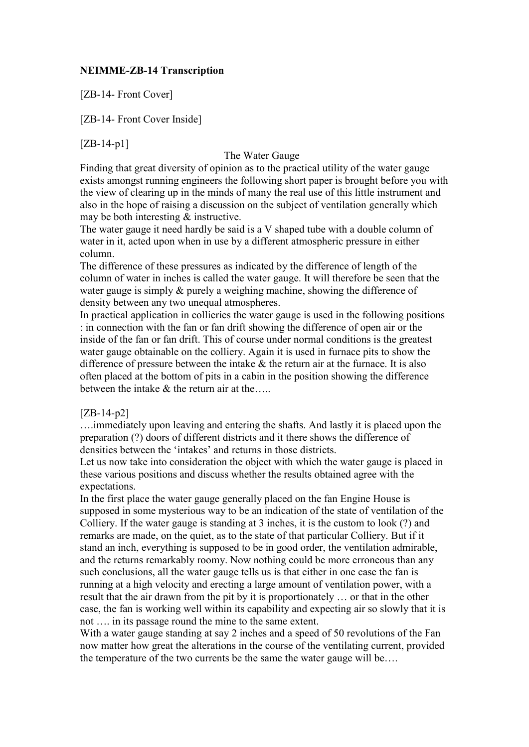# **NEIMME-ZB-14 Transcription**

[ZB-14- Front Cover]

[ZB-14- Front Cover Inside]

 $[ZB-14-p1]$ 

# The Water Gauge

Finding that great diversity of opinion as to the practical utility of the water gauge exists amongst running engineers the following short paper is brought before you with the view of clearing up in the minds of many the real use of this little instrument and also in the hope of raising a discussion on the subject of ventilation generally which may be both interesting & instructive.

The water gauge it need hardly be said is a V shaped tube with a double column of water in it, acted upon when in use by a different atmospheric pressure in either column.

The difference of these pressures as indicated by the difference of length of the column of water in inches is called the water gauge. It will therefore be seen that the water gauge is simply & purely a weighing machine, showing the difference of density between any two unequal atmospheres.

In practical application in collieries the water gauge is used in the following positions : in connection with the fan or fan drift showing the difference of open air or the inside of the fan or fan drift. This of course under normal conditions is the greatest water gauge obtainable on the colliery. Again it is used in furnace pits to show the difference of pressure between the intake  $\&$  the return air at the furnace. It is also often placed at the bottom of pits in a cabin in the position showing the difference between the intake  $\&$  the return air at the.....

# [ZB-14-p2]

….immediately upon leaving and entering the shafts. And lastly it is placed upon the preparation (?) doors of different districts and it there shows the difference of densities between the 'intakes' and returns in those districts.

Let us now take into consideration the object with which the water gauge is placed in these various positions and discuss whether the results obtained agree with the expectations.

In the first place the water gauge generally placed on the fan Engine House is supposed in some mysterious way to be an indication of the state of ventilation of the Colliery. If the water gauge is standing at 3 inches, it is the custom to look (?) and remarks are made, on the quiet, as to the state of that particular Colliery. But if it stand an inch, everything is supposed to be in good order, the ventilation admirable, and the returns remarkably roomy. Now nothing could be more erroneous than any such conclusions, all the water gauge tells us is that either in one case the fan is running at a high velocity and erecting a large amount of ventilation power, with a result that the air drawn from the pit by it is proportionately … or that in the other case, the fan is working well within its capability and expecting air so slowly that it is not …. in its passage round the mine to the same extent.

With a water gauge standing at say 2 inches and a speed of 50 revolutions of the Fan now matter how great the alterations in the course of the ventilating current, provided the temperature of the two currents be the same the water gauge will be….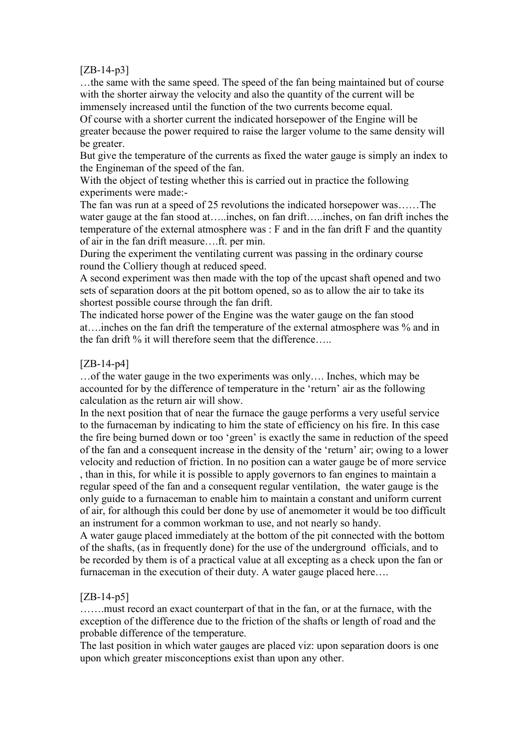# $[ZB-14-p3]$

…the same with the same speed. The speed of the fan being maintained but of course with the shorter airway the velocity and also the quantity of the current will be immensely increased until the function of the two currents become equal.

Of course with a shorter current the indicated horsepower of the Engine will be greater because the power required to raise the larger volume to the same density will be greater.

But give the temperature of the currents as fixed the water gauge is simply an index to the Engineman of the speed of the fan.

With the object of testing whether this is carried out in practice the following experiments were made:-

The fan was run at a speed of 25 revolutions the indicated horsepower was……The water gauge at the fan stood at…..inches, on fan drift…..inches, on fan drift inches the temperature of the external atmosphere was : F and in the fan drift F and the quantity of air in the fan drift measure….ft. per min.

During the experiment the ventilating current was passing in the ordinary course round the Colliery though at reduced speed.

A second experiment was then made with the top of the upcast shaft opened and two sets of separation doors at the pit bottom opened, so as to allow the air to take its shortest possible course through the fan drift.

The indicated horse power of the Engine was the water gauge on the fan stood at….inches on the fan drift the temperature of the external atmosphere was % and in the fan drift % it will therefore seem that the difference.....

# [ZB-14-p4]

…of the water gauge in the two experiments was only…. Inches, which may be accounted for by the difference of temperature in the 'return' air as the following calculation as the return air will show.

In the next position that of near the furnace the gauge performs a very useful service to the furnaceman by indicating to him the state of efficiency on his fire. In this case the fire being burned down or too 'green' is exactly the same in reduction of the speed of the fan and a consequent increase in the density of the 'return' air; owing to a lower velocity and reduction of friction. In no position can a water gauge be of more service , than in this, for while it is possible to apply governors to fan engines to maintain a regular speed of the fan and a consequent regular ventilation, the water gauge is the only guide to a furnaceman to enable him to maintain a constant and uniform current of air, for although this could ber done by use of anemometer it would be too difficult an instrument for a common workman to use, and not nearly so handy.

A water gauge placed immediately at the bottom of the pit connected with the bottom of the shafts, (as in frequently done) for the use of the underground officials, and to be recorded by them is of a practical value at all excepting as a check upon the fan or furnaceman in the execution of their duty. A water gauge placed here....

# [ZB-14-p5]

…….must record an exact counterpart of that in the fan, or at the furnace, with the exception of the difference due to the friction of the shafts or length of road and the probable difference of the temperature.

The last position in which water gauges are placed viz: upon separation doors is one upon which greater misconceptions exist than upon any other.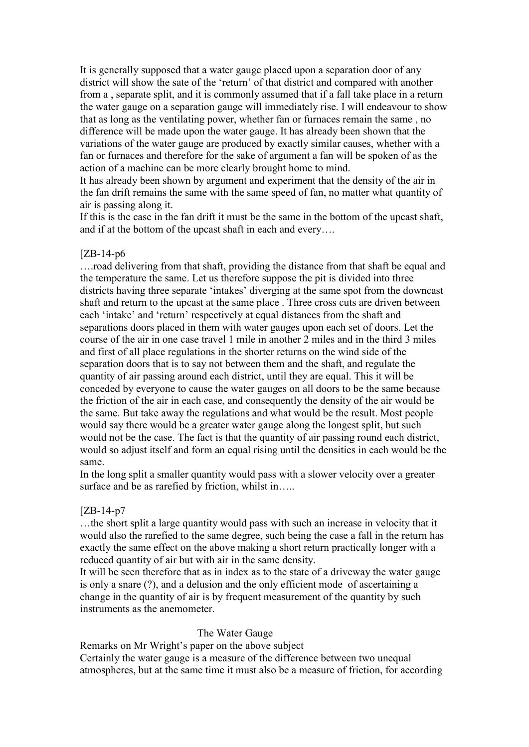It is generally supposed that a water gauge placed upon a separation door of any district will show the sate of the 'return' of that district and compared with another from a , separate split, and it is commonly assumed that if a fall take place in a return the water gauge on a separation gauge will immediately rise. I will endeavour to show that as long as the ventilating power, whether fan or furnaces remain the same , no difference will be made upon the water gauge. It has already been shown that the variations of the water gauge are produced by exactly similar causes, whether with a fan or furnaces and therefore for the sake of argument a fan will be spoken of as the action of a machine can be more clearly brought home to mind.

It has already been shown by argument and experiment that the density of the air in the fan drift remains the same with the same speed of fan, no matter what quantity of air is passing along it.

If this is the case in the fan drift it must be the same in the bottom of the upcast shaft, and if at the bottom of the upcast shaft in each and every….

#### [ZB-14-p6

….road delivering from that shaft, providing the distance from that shaft be equal and the temperature the same. Let us therefore suppose the pit is divided into three districts having three separate 'intakes' diverging at the same spot from the downcast shaft and return to the upcast at the same place . Three cross cuts are driven between each 'intake' and 'return' respectively at equal distances from the shaft and separations doors placed in them with water gauges upon each set of doors. Let the course of the air in one case travel 1 mile in another 2 miles and in the third 3 miles and first of all place regulations in the shorter returns on the wind side of the separation doors that is to say not between them and the shaft, and regulate the quantity of air passing around each district, until they are equal. This it will be conceded by everyone to cause the water gauges on all doors to be the same because the friction of the air in each case, and consequently the density of the air would be the same. But take away the regulations and what would be the result. Most people would say there would be a greater water gauge along the longest split, but such would not be the case. The fact is that the quantity of air passing round each district, would so adjust itself and form an equal rising until the densities in each would be the same.

In the long split a smaller quantity would pass with a slower velocity over a greater surface and be as rarefied by friction, whilst in…..

#### [ZB-14-p7

…the short split a large quantity would pass with such an increase in velocity that it would also the rarefied to the same degree, such being the case a fall in the return has exactly the same effect on the above making a short return practically longer with a reduced quantity of air but with air in the same density.

It will be seen therefore that as in index as to the state of a driveway the water gauge is only a snare (?), and a delusion and the only efficient mode of ascertaining a change in the quantity of air is by frequent measurement of the quantity by such instruments as the anemometer.

#### The Water Gauge

Remarks on Mr Wright's paper on the above subject

Certainly the water gauge is a measure of the difference between two unequal atmospheres, but at the same time it must also be a measure of friction, for according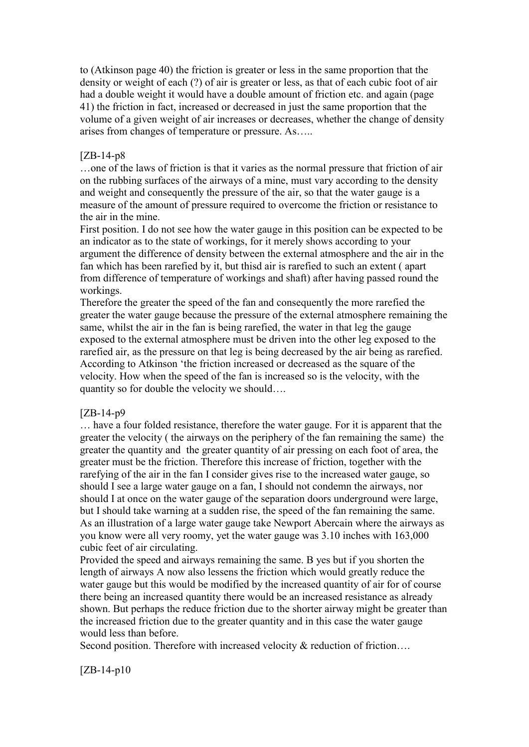to (Atkinson page 40) the friction is greater or less in the same proportion that the density or weight of each (?) of air is greater or less, as that of each cubic foot of air had a double weight it would have a double amount of friction etc. and again (page 41) the friction in fact, increased or decreased in just the same proportion that the volume of a given weight of air increases or decreases, whether the change of density arises from changes of temperature or pressure. As…..

## [ZB-14-p8

…one of the laws of friction is that it varies as the normal pressure that friction of air on the rubbing surfaces of the airways of a mine, must vary according to the density and weight and consequently the pressure of the air, so that the water gauge is a measure of the amount of pressure required to overcome the friction or resistance to the air in the mine.

First position. I do not see how the water gauge in this position can be expected to be an indicator as to the state of workings, for it merely shows according to your argument the difference of density between the external atmosphere and the air in the fan which has been rarefied by it, but thisd air is rarefied to such an extent ( apart from difference of temperature of workings and shaft) after having passed round the workings.

Therefore the greater the speed of the fan and consequently the more rarefied the greater the water gauge because the pressure of the external atmosphere remaining the same, whilst the air in the fan is being rarefied, the water in that leg the gauge exposed to the external atmosphere must be driven into the other leg exposed to the rarefied air, as the pressure on that leg is being decreased by the air being as rarefied. According to Atkinson 'the friction increased or decreased as the square of the velocity. How when the speed of the fan is increased so is the velocity, with the quantity so for double the velocity we should….

#### [ZB-14-p9

… have a four folded resistance, therefore the water gauge. For it is apparent that the greater the velocity ( the airways on the periphery of the fan remaining the same) the greater the quantity and the greater quantity of air pressing on each foot of area, the greater must be the friction. Therefore this increase of friction, together with the rarefying of the air in the fan I consider gives rise to the increased water gauge, so should I see a large water gauge on a fan, I should not condemn the airways, nor should I at once on the water gauge of the separation doors underground were large, but I should take warning at a sudden rise, the speed of the fan remaining the same. As an illustration of a large water gauge take Newport Abercain where the airways as you know were all very roomy, yet the water gauge was 3.10 inches with 163,000 cubic feet of air circulating.

Provided the speed and airways remaining the same. B yes but if you shorten the length of airways A now also lessens the friction which would greatly reduce the water gauge but this would be modified by the increased quantity of air for of course there being an increased quantity there would be an increased resistance as already shown. But perhaps the reduce friction due to the shorter airway might be greater than the increased friction due to the greater quantity and in this case the water gauge would less than before.

Second position. Therefore with increased velocity & reduction of friction....

# [ZB-14-p10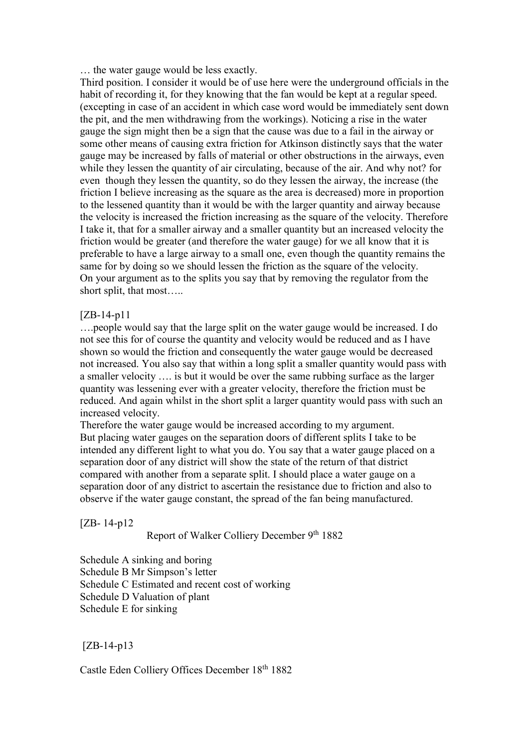… the water gauge would be less exactly.

Third position. I consider it would be of use here were the underground officials in the habit of recording it, for they knowing that the fan would be kept at a regular speed. (excepting in case of an accident in which case word would be immediately sent down the pit, and the men withdrawing from the workings). Noticing a rise in the water gauge the sign might then be a sign that the cause was due to a fail in the airway or some other means of causing extra friction for Atkinson distinctly says that the water gauge may be increased by falls of material or other obstructions in the airways, even while they lessen the quantity of air circulating, because of the air. And why not? for even though they lessen the quantity, so do they lessen the airway, the increase (the friction I believe increasing as the square as the area is decreased) more in proportion to the lessened quantity than it would be with the larger quantity and airway because the velocity is increased the friction increasing as the square of the velocity. Therefore I take it, that for a smaller airway and a smaller quantity but an increased velocity the friction would be greater (and therefore the water gauge) for we all know that it is preferable to have a large airway to a small one, even though the quantity remains the same for by doing so we should lessen the friction as the square of the velocity. On your argument as to the splits you say that by removing the regulator from the short split, that most…..

# [ZB-14-p11

….people would say that the large split on the water gauge would be increased. I do not see this for of course the quantity and velocity would be reduced and as I have shown so would the friction and consequently the water gauge would be decreased not increased. You also say that within a long split a smaller quantity would pass with a smaller velocity …. is but it would be over the same rubbing surface as the larger quantity was lessening ever with a greater velocity, therefore the friction must be reduced. And again whilst in the short split a larger quantity would pass with such an increased velocity.

Therefore the water gauge would be increased according to my argument. But placing water gauges on the separation doors of different splits I take to be intended any different light to what you do. You say that a water gauge placed on a separation door of any district will show the state of the return of that district compared with another from a separate split. I should place a water gauge on a separation door of any district to ascertain the resistance due to friction and also to observe if the water gauge constant, the spread of the fan being manufactured.

[ZB- 14-p12

Report of Walker Colliery December 9th 1882

Schedule A sinking and boring Schedule B Mr Simpson's letter Schedule C Estimated and recent cost of working Schedule D Valuation of plant Schedule E for sinking

[ZB-14-p13

Castle Eden Colliery Offices December 18th 1882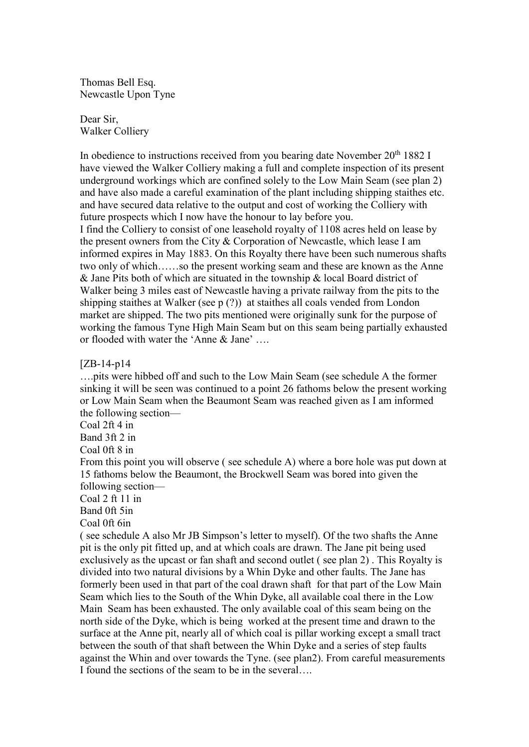Thomas Bell Esq. Newcastle Upon Tyne

Dear Sir, Walker Colliery

In obedience to instructions received from you bearing date November 20<sup>th</sup> 1882 I have viewed the Walker Colliery making a full and complete inspection of its present underground workings which are confined solely to the Low Main Seam (see plan 2) and have also made a careful examination of the plant including shipping staithes etc. and have secured data relative to the output and cost of working the Colliery with future prospects which I now have the honour to lay before you. I find the Colliery to consist of one leasehold royalty of 1108 acres held on lease by the present owners from the City & Corporation of Newcastle, which lease I am informed expires in May 1883. On this Royalty there have been such numerous shafts two only of which……so the present working seam and these are known as the Anne & Jane Pits both of which are situated in the township & local Board district of Walker being 3 miles east of Newcastle having a private railway from the pits to the shipping staithes at Walker (see p (?)) at staithes all coals vended from London market are shipped. The two pits mentioned were originally sunk for the purpose of working the famous Tyne High Main Seam but on this seam being partially exhausted or flooded with water the 'Anne & Jane' ….

[ZB-14-p14

….pits were hibbed off and such to the Low Main Seam (see schedule A the former sinking it will be seen was continued to a point 26 fathoms below the present working or Low Main Seam when the Beaumont Seam was reached given as I am informed the following section—

Coal 2ft 4 in

Band 3ft 2 in

Coal 0ft 8 in

From this point you will observe ( see schedule A) where a bore hole was put down at 15 fathoms below the Beaumont, the Brockwell Seam was bored into given the following section—

Coal 2 ft 11 in

Band 0ft 5in

Coal 0ft 6in

( see schedule A also Mr JB Simpson's letter to myself). Of the two shafts the Anne pit is the only pit fitted up, and at which coals are drawn. The Jane pit being used exclusively as the upcast or fan shaft and second outlet ( see plan 2) . This Royalty is divided into two natural divisions by a Whin Dyke and other faults. The Jane has formerly been used in that part of the coal drawn shaft for that part of the Low Main Seam which lies to the South of the Whin Dyke, all available coal there in the Low Main Seam has been exhausted. The only available coal of this seam being on the north side of the Dyke, which is being worked at the present time and drawn to the surface at the Anne pit, nearly all of which coal is pillar working except a small tract between the south of that shaft between the Whin Dyke and a series of step faults against the Whin and over towards the Tyne. (see plan2). From careful measurements I found the sections of the seam to be in the several….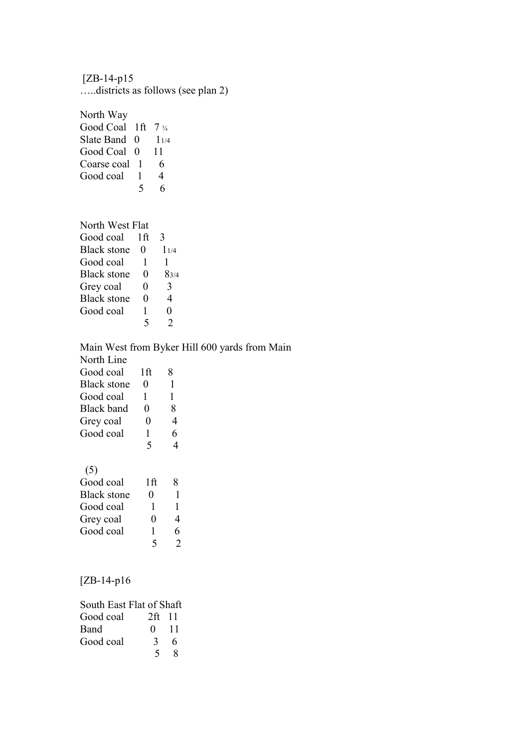[ZB-14-p15 …..districts as follows (see plan 2)

North Way Good Coal 1ft  $7\frac{1}{4}$ Slate Band  $\begin{array}{cc} 0 & 1_{1/4} \\ 0 & 11 \end{array}$ Good Coal 0 Coarse coal 1 6<br>Good coal 1 4 Good coal 1 5 6

## North West Flat

| Good coal          | 1ft               | 3         |
|--------------------|-------------------|-----------|
| <b>Black stone</b> | $\mathbf{\Omega}$ | $1_{1/4}$ |
| Good coal          | 1                 | 1         |
| <b>Black stone</b> | 0                 | 83/4      |
| Grey coal          | 0                 | 3         |
| <b>Black stone</b> | 0                 | 4         |
| Good coal          | 1                 | 0         |
|                    | 5                 | っ         |

# Main West from Byker Hill 600 yards from Main North Line

| Good coal          | 1ft | 8              |
|--------------------|-----|----------------|
| <b>Black stone</b> | 0   | 1              |
| Good coal          | 1   | 1              |
| Black band         | 0   | 8              |
| Grey coal          | 0   | 4              |
| Good coal          | 1   | 6              |
|                    | 5   | 4              |
|                    |     |                |
| (5)                |     |                |
| Good coal          | 1ft | 8              |
| <b>Black stone</b> | 0   | 1              |
| Good coal          | 1   | 1              |
| Grey coal          | 0   | 4              |
| Good coal          | 1   | 6              |
|                    | 5   | $\overline{2}$ |

# [ZB-14-p16

| South East Flat of Shaft |              |   |
|--------------------------|--------------|---|
| Good coal                | 2ft 11       |   |
| <b>Band</b>              | $0 \quad 11$ |   |
| Good coal                | 3            | 6 |
|                          | 5            | x |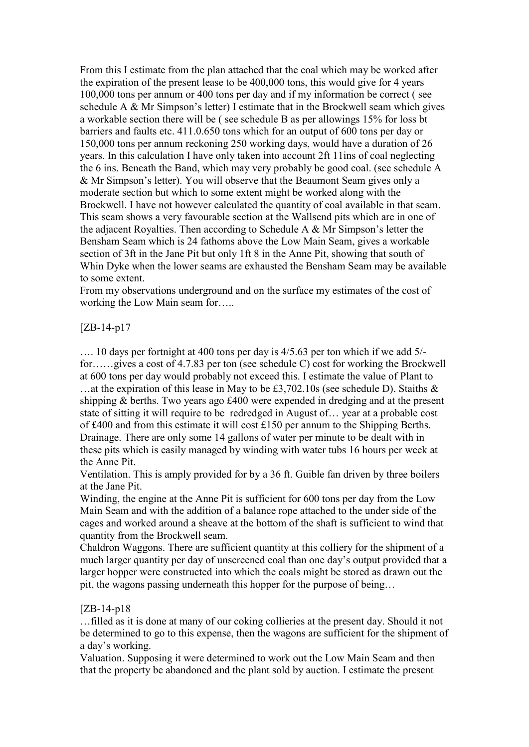From this I estimate from the plan attached that the coal which may be worked after the expiration of the present lease to be 400,000 tons, this would give for 4 years 100,000 tons per annum or 400 tons per day and if my information be correct ( see schedule A & Mr Simpson's letter) I estimate that in the Brockwell seam which gives a workable section there will be ( see schedule B as per allowings 15% for loss bt barriers and faults etc. 411.0.650 tons which for an output of 600 tons per day or 150,000 tons per annum reckoning 250 working days, would have a duration of 26 years. In this calculation I have only taken into account 2ft 11ins of coal neglecting the 6 ins. Beneath the Band, which may very probably be good coal. (see schedule A & Mr Simpson's letter). You will observe that the Beaumont Seam gives only a moderate section but which to some extent might be worked along with the Brockwell. I have not however calculated the quantity of coal available in that seam. This seam shows a very favourable section at the Wallsend pits which are in one of the adjacent Royalties. Then according to Schedule A & Mr Simpson's letter the Bensham Seam which is 24 fathoms above the Low Main Seam, gives a workable section of 3ft in the Jane Pit but only 1ft 8 in the Anne Pit, showing that south of Whin Dyke when the lower seams are exhausted the Bensham Seam may be available to some extent.

From my observations underground and on the surface my estimates of the cost of working the Low Main seam for…..

## [ZB-14-p17

…. 10 days per fortnight at 400 tons per day is 4/5.63 per ton which if we add 5/ for……gives a cost of 4.7.83 per ton (see schedule C) cost for working the Brockwell at 600 tons per day would probably not exceed this. I estimate the value of Plant to …at the expiration of this lease in May to be £3,702.10s (see schedule D). Staiths & shipping & berths. Two years ago £400 were expended in dredging and at the present state of sitting it will require to be redredged in August of… year at a probable cost of £400 and from this estimate it will cost £150 per annum to the Shipping Berths. Drainage. There are only some 14 gallons of water per minute to be dealt with in these pits which is easily managed by winding with water tubs 16 hours per week at the Anne Pit.

Ventilation. This is amply provided for by a 36 ft. Guible fan driven by three boilers at the Jane Pit.

Winding, the engine at the Anne Pit is sufficient for 600 tons per day from the Low Main Seam and with the addition of a balance rope attached to the under side of the cages and worked around a sheave at the bottom of the shaft is sufficient to wind that quantity from the Brockwell seam.

Chaldron Waggons. There are sufficient quantity at this colliery for the shipment of a much larger quantity per day of unscreened coal than one day's output provided that a larger hopper were constructed into which the coals might be stored as drawn out the pit, the wagons passing underneath this hopper for the purpose of being…

# [ZB-14-p18

…filled as it is done at many of our coking collieries at the present day. Should it not be determined to go to this expense, then the wagons are sufficient for the shipment of a day's working.

Valuation. Supposing it were determined to work out the Low Main Seam and then that the property be abandoned and the plant sold by auction. I estimate the present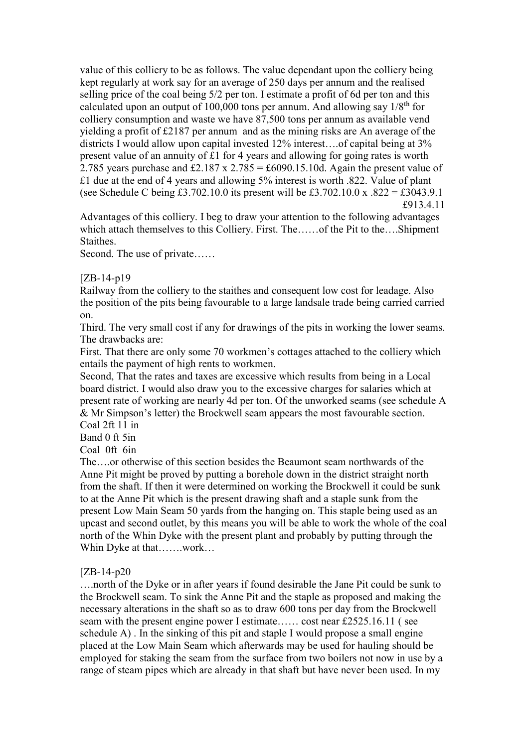value of this colliery to be as follows. The value dependant upon the colliery being kept regularly at work say for an average of 250 days per annum and the realised selling price of the coal being 5/2 per ton. I estimate a profit of 6d per ton and this calculated upon an output of 100,000 tons per annum. And allowing say  $1/8<sup>th</sup>$  for colliery consumption and waste we have 87,500 tons per annum as available vend yielding a profit of £2187 per annum and as the mining risks are An average of the districts I would allow upon capital invested 12% interest….of capital being at 3% present value of an annuity of £1 for 4 years and allowing for going rates is worth 2.785 years purchase and £2.187 x 2.785 = £6090.15.10d. Again the present value of £1 due at the end of 4 years and allowing 5% interest is worth .822. Value of plant (see Schedule C being £3.702.10.0 its present will be £3.702.10.0 x .822 = £3043.9.1 £913.4.11

Advantages of this colliery. I beg to draw your attention to the following advantages which attach themselves to this Colliery. First. The……of the Pit to the….Shipment Staithes.

Second. The use of private……

 $[ZB-14-p19]$ 

Railway from the colliery to the staithes and consequent low cost for leadage. Also the position of the pits being favourable to a large landsale trade being carried carried on.

Third. The very small cost if any for drawings of the pits in working the lower seams. The drawbacks are:

First. That there are only some 70 workmen's cottages attached to the colliery which entails the payment of high rents to workmen.

Second, That the rates and taxes are excessive which results from being in a Local board district. I would also draw you to the excessive charges for salaries which at present rate of working are nearly 4d per ton. Of the unworked seams (see schedule A & Mr Simpson's letter) the Brockwell seam appears the most favourable section.

Coal 2ft 11 in

Band 0 ft 5in

Coal 0ft 6in

The….or otherwise of this section besides the Beaumont seam northwards of the Anne Pit might be proved by putting a borehole down in the district straight north from the shaft. If then it were determined on working the Brockwell it could be sunk to at the Anne Pit which is the present drawing shaft and a staple sunk from the present Low Main Seam 50 yards from the hanging on. This staple being used as an upcast and second outlet, by this means you will be able to work the whole of the coal north of the Whin Dyke with the present plant and probably by putting through the Whin Dyke at that…….work…

[ZB-14-p20

….north of the Dyke or in after years if found desirable the Jane Pit could be sunk to the Brockwell seam. To sink the Anne Pit and the staple as proposed and making the necessary alterations in the shaft so as to draw 600 tons per day from the Brockwell seam with the present engine power I estimate…… cost near £2525.16.11 ( see schedule A) . In the sinking of this pit and staple I would propose a small engine placed at the Low Main Seam which afterwards may be used for hauling should be employed for staking the seam from the surface from two boilers not now in use by a range of steam pipes which are already in that shaft but have never been used. In my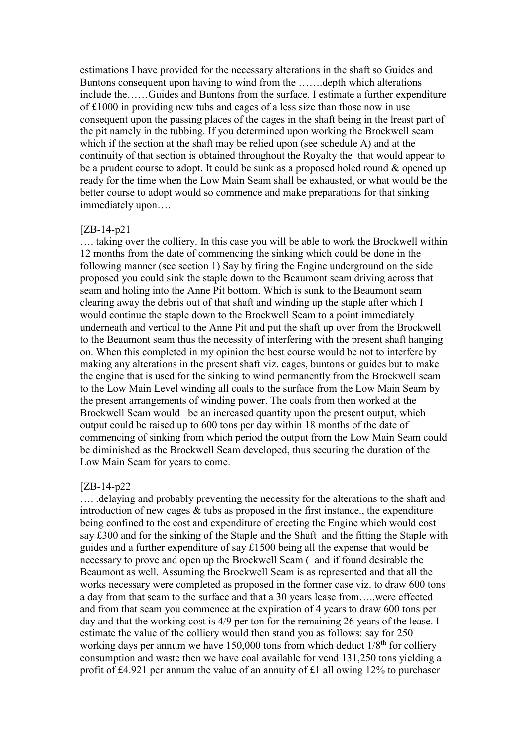estimations I have provided for the necessary alterations in the shaft so Guides and Buntons consequent upon having to wind from the …….depth which alterations include the……Guides and Buntons from the surface. I estimate a further expenditure of £1000 in providing new tubs and cages of a less size than those now in use consequent upon the passing places of the cages in the shaft being in the lreast part of the pit namely in the tubbing. If you determined upon working the Brockwell seam which if the section at the shaft may be relied upon (see schedule A) and at the continuity of that section is obtained throughout the Royalty the that would appear to be a prudent course to adopt. It could be sunk as a proposed holed round & opened up ready for the time when the Low Main Seam shall be exhausted, or what would be the better course to adopt would so commence and make preparations for that sinking immediately upon….

#### [ZB-14-p21

…. taking over the colliery. In this case you will be able to work the Brockwell within 12 months from the date of commencing the sinking which could be done in the following manner (see section 1) Say by firing the Engine underground on the side proposed you could sink the staple down to the Beaumont seam driving across that seam and holing into the Anne Pit bottom. Which is sunk to the Beaumont seam clearing away the debris out of that shaft and winding up the staple after which I would continue the staple down to the Brockwell Seam to a point immediately underneath and vertical to the Anne Pit and put the shaft up over from the Brockwell to the Beaumont seam thus the necessity of interfering with the present shaft hanging on. When this completed in my opinion the best course would be not to interfere by making any alterations in the present shaft viz. cages, buntons or guides but to make the engine that is used for the sinking to wind permanently from the Brockwell seam to the Low Main Level winding all coals to the surface from the Low Main Seam by the present arrangements of winding power. The coals from then worked at the Brockwell Seam would be an increased quantity upon the present output, which output could be raised up to 600 tons per day within 18 months of the date of commencing of sinking from which period the output from the Low Main Seam could be diminished as the Brockwell Seam developed, thus securing the duration of the Low Main Seam for years to come.

#### [ZB-14-p22

…. .delaying and probably preventing the necessity for the alterations to the shaft and introduction of new cages & tubs as proposed in the first instance., the expenditure being confined to the cost and expenditure of erecting the Engine which would cost say £300 and for the sinking of the Staple and the Shaft and the fitting the Staple with guides and a further expenditure of say £1500 being all the expense that would be necessary to prove and open up the Brockwell Seam ( and if found desirable the Beaumont as well. Assuming the Brockwell Seam is as represented and that all the works necessary were completed as proposed in the former case viz. to draw 600 tons a day from that seam to the surface and that a 30 years lease from…..were effected and from that seam you commence at the expiration of 4 years to draw 600 tons per day and that the working cost is 4/9 per ton for the remaining 26 years of the lease. I estimate the value of the colliery would then stand you as follows: say for 250 working days per annum we have 150,000 tons from which deduct  $1/8<sup>th</sup>$  for colliery consumption and waste then we have coal available for vend 131,250 tons yielding a profit of £4.921 per annum the value of an annuity of £1 all owing 12% to purchaser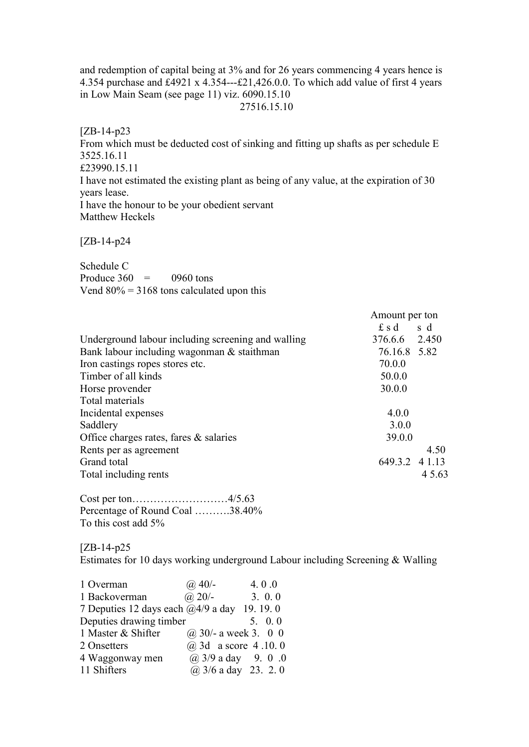and redemption of capital being at 3% and for 26 years commencing 4 years hence is 4.354 purchase and £4921 x 4.354---£21,426.0.0. To which add value of first 4 years in Low Main Seam (see page 11) viz. 6090.15.10 27516.15.10

[ZB-14-p23 From which must be deducted cost of sinking and fitting up shafts as per schedule E 3525.16.11 £23990.15.11 I have not estimated the existing plant as being of any value, at the expiration of 30 years lease. I have the honour to be your obedient servant Matthew Heckels

[ZB-14-p24

Schedule C Produce  $360 = 0960$  tons Vend  $80\% = 3168$  tons calculated upon this

|                                                    | Amount per ton |        |
|----------------------------------------------------|----------------|--------|
|                                                    | $f$ s d        | s d    |
| Underground labour including screening and walling | 376.6.6 2.450  |        |
| Bank labour including wagonman & staithman         | 76.16.8 5.82   |        |
| Iron castings ropes stores etc.                    | 70.0.0         |        |
| Timber of all kinds                                | 50.0.0         |        |
| Horse provender                                    | 30.0.0         |        |
| Total materials                                    |                |        |
| Incidental expenses                                | 4.0.0          |        |
| Saddlery                                           | 3.0.0          |        |
| Office charges rates, fares $\&$ salaries          | 39.0.0         |        |
| Rents per as agreement                             |                | 4.50   |
| Grand total                                        | 649.3.2 4 1.13 |        |
| Total including rents                              |                | 4 5.63 |

Cost per ton………………………4/5.63 Percentage of Round Coal ……….38.40% To this cost add 5%

[ZB-14-p25

Estimates for 10 days working underground Labour including Screening & Walling

| 1 Overman                                          | $(a)$ 40/-               | 4.0.0          |
|----------------------------------------------------|--------------------------|----------------|
| 1 Backoverman                                      | $(a)$ 20/-               | 3.0.0          |
| 7 Deputies 12 days each $\omega$ 4/9 a day 19.19.0 |                          |                |
| Deputies drawing timber                            |                          | $5. \quad 0.0$ |
| 1 Master & Shifter                                 | $(a)$ 30/- a week 3. 0 0 |                |
| 2 Onsetters                                        | @ 3d a score 4.10.0      |                |
| 4 Waggonway men                                    | $(a)$ 3/9 a day 9. 0 .0  |                |
| 11 Shifters                                        | $(a)$ 3/6 a day 23. 2. 0 |                |
|                                                    |                          |                |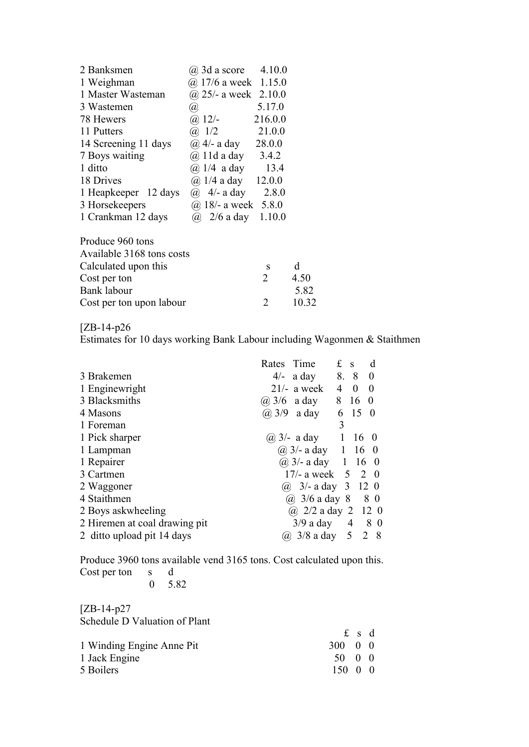| 2 Banksmen           | $\omega$ 3d a score      | 4.10.0  |
|----------------------|--------------------------|---------|
| 1 Weighman           | $(a)$ 17/6 a week 1.15.0 |         |
| 1 Master Wasteman    | $(a)$ 25/- a week        | 2.10.0  |
| 3 Wastemen           | (a)                      | 5.17.0  |
| 78 Hewers            | $(a)$ 12/-               | 216.0.0 |
| 11 Putters           | $(a)$ 1/2                | 21.0.0  |
| 14 Screening 11 days | $\omega$ 4/- a day       | 28.0.0  |
| 7 Boys waiting       | $(a)$ 11d a day          | 3.4.2   |
| 1 ditto              | $(a)$ 1/4 a day          | 13.4    |
| 18 Drives            | $(a)$ 1/4 a day          | 12.0.0  |
| 1 Heapkeeper 12 days | $\omega$ 4/- a day       | 2.8.0   |
| 3 Horsekeepers       | $(a)$ 18/- a week        | 5.8.0   |
| 1 Crankman 12 days   | $\omega$ 2/6 a day       | 1.10.0  |
|                      |                          |         |

| Produce 960 tons          |               |              |
|---------------------------|---------------|--------------|
| Available 3168 tons costs |               |              |
| Calculated upon this      | s             | <sub>d</sub> |
| Cost per ton              | $\mathcal{D}$ | 4.50         |
| Bank labour               |               | 5.82         |
| Cost per ton upon labour  |               | 10.32        |

# [ZB-14-p26

Estimates for 10 days working Bank Labour including Wagonmen & Staithmen

|                               | Rates Time |                               | £              | $\mathbf{s}$             | d              |
|-------------------------------|------------|-------------------------------|----------------|--------------------------|----------------|
| 3 Brakemen                    |            | $4/-$ a day                   |                | 8. 8 0                   |                |
| 1 Enginewright                |            | $21/-$ a week                 | $\overline{4}$ | $\overline{\phantom{0}}$ | $\overline{0}$ |
| 3 Blacksmiths                 |            | $(a)$ 3/6 a day               |                | 8 16 0                   |                |
| 4 Masons                      |            | $(a)$ 3/9 a day               |                | 6 15 0                   |                |
| 1 Foreman                     |            |                               | 3              |                          |                |
| 1 Pick sharper                |            | ( <i>a</i> ) $3/-$ a day 1    |                | $16\quad0$               |                |
| 1 Lampman                     |            | $(a)$ 3/- a day 1 16 0        |                |                          |                |
| 1 Repairer                    |            | $(a) 3/$ - a day 1 16 0       |                |                          |                |
| 3 Cartmen                     |            | 17/- a week $\, 5 \, 2 \, 0$  |                |                          |                |
| 2 Waggoner                    |            | (a) $3/-$ a day $3 \t12 \t0$  |                |                          |                |
| 4 Staithmen                   |            | (a) $3/6$ a day $8 \t 8 \t 0$ |                |                          |                |
| 2 Boys askwheeling            |            | (a) $2/2$ a day 2 12 0        |                |                          |                |
| 2 Hiremen at coal drawing pit |            | $3/9$ a day                   |                | 4 8 0                    |                |
| 2 ditto upload pit 14 days    |            | $(a)$ 3/8 a day 5             |                |                          | 2 8            |
|                               |            |                               |                |                          |                |

Produce 3960 tons available vend 3165 tons. Cost calculated upon this. Cost per ton s d

[ZB-14-p27 Schedule D Valuation of Plant

|                           |                       | £sd |  |
|---------------------------|-----------------------|-----|--|
| 1 Winding Engine Anne Pit | $300 \quad 0 \quad 0$ |     |  |
| 1 Jack Engine             | 50 0 0                |     |  |
| 5 Boilers                 | $150 \quad 0 \quad 0$ |     |  |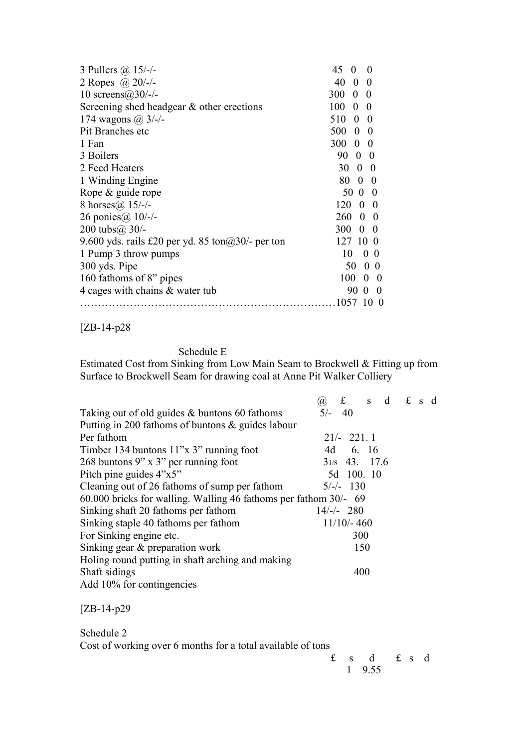| 3 Pullers $(a)$ 15/-/-                                    | 45<br>$\Omega$<br>$\theta$     |
|-----------------------------------------------------------|--------------------------------|
| 2 Ropes @ $20/-$                                          | 40<br>$\theta$<br>$\Omega$     |
| 10 screens $(a)$ 30/-/-                                   | 300<br>$0\quad 0$              |
| Screening shed headgear & other erections                 | 100<br>$\mathbf{0}$<br>- 0     |
| 174 wagons $(a)$ 3/-/-                                    | 510<br>- 0<br>$\boldsymbol{0}$ |
| Pit Branches etc                                          | 500<br>$0\quad 0$              |
| 1 Fan                                                     | 300<br>$0\quad 0$              |
| 3 Boilers                                                 | 90 0 0                         |
| 2 Feed Heaters                                            | 30<br>$0\quad 0$               |
| 1 Winding Engine                                          | 80<br>$0\quad 0$               |
| Rope & guide rope                                         | 50 0 0                         |
| 8 horses $(a)$ 15/-/-                                     | 120<br>$\Omega$<br>$\theta$    |
| 26 ponies@ 10/-/-                                         | 260<br>$\Omega$<br>$\theta$    |
| 200 tubs $(a)$ 30/-                                       | 300<br>$\Omega$<br>$\theta$    |
| 9.600 yds. rails £20 per yd. 85 ton $\omega$ 30/- per ton | 127<br>10<br>$\theta$          |
| 1 Pump 3 throw pumps                                      | 10<br>$\overline{0}$<br>-0     |
| 300 yds. Pipe                                             | 50<br>0 <sub>0</sub>           |
| 160 fathoms of 8" pipes                                   | 100<br>$0\quad 0$              |
| 4 cages with chains & water tub                           | 90<br>$0\quad 0$               |
|                                                           | 10 <sub>0</sub><br>1057        |
|                                                           |                                |

[ZB-14-p28

# Schedule E

Estimated Cost from Sinking from Low Main Seam to Brockwell & Fitting up from Surface to Brockwell Seam for drawing coal at Anne Pit Walker Colliery

|                                                                  | $f$ s d $f$ s d<br>Ø), |  |
|------------------------------------------------------------------|------------------------|--|
| Taking out of old guides & buntons 60 fathoms                    | $5/- 40$               |  |
| Putting in 200 fathoms of buntons $\&$ guides labour             |                        |  |
| Per fathom                                                       | $21/- 221.1$           |  |
| Timber 134 buntons 11"x 3" running foot                          | 4d 6. 16               |  |
| 268 buntons 9" x 3" per running foot                             | $31/8$ 43. 17.6        |  |
| Pitch pine guides $4"x5"$                                        | 5d 100. 10             |  |
| Cleaning out of 26 fathoms of sump per fathom                    | $5/-/-$ 130            |  |
| 60.000 bricks for walling. Walling 46 fathoms per fathom 30/- 69 |                        |  |
| Sinking shaft 20 fathoms per fathom                              | $14/-/- 280$           |  |
| Sinking staple 40 fathoms per fathom                             | $11/10/- 460$          |  |
| For Sinking engine etc.                                          | 300                    |  |
| Sinking gear & preparation work                                  | 150                    |  |
| Holing round putting in shaft arching and making                 |                        |  |
| Shaft sidings                                                    | 400                    |  |
| Add 10% for contingencies                                        |                        |  |

[ZB-14-p29

Schedule 2 Cost of working over 6 months for a total available of tons

 $f$  s d  $f$  s d 1 9.55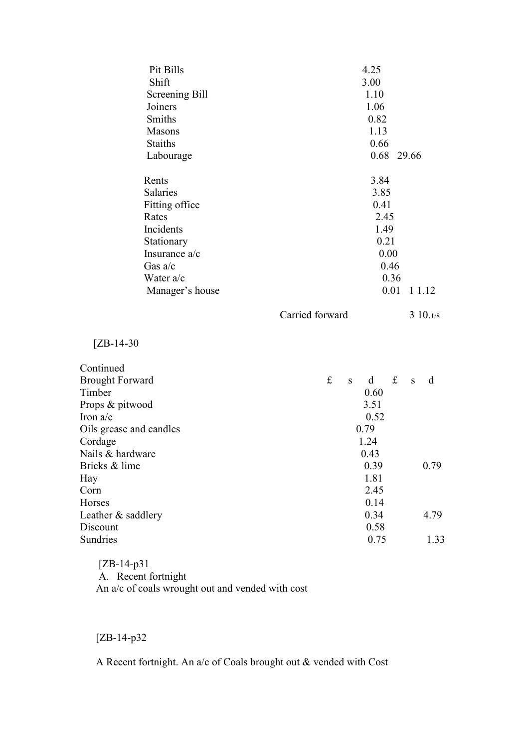| Pit Bills               | 4.25            |             |              |             |             |      |             |
|-------------------------|-----------------|-------------|--------------|-------------|-------------|------|-------------|
| Shift                   | 3.00            |             |              |             |             |      |             |
| Screening Bill          | 1.10            |             |              |             |             |      |             |
| Joiners                 |                 |             |              | 1.06        |             |      |             |
| <b>Smiths</b>           |                 |             |              | 0.82        |             |      |             |
| <b>Masons</b>           |                 |             |              | 1.13        |             |      |             |
| <b>Staiths</b>          |                 |             |              | 0.66        |             |      |             |
| Labourage               |                 |             |              | 0.68 29.66  |             |      |             |
| Rents                   |                 |             |              | 3.84        |             |      |             |
| <b>Salaries</b>         |                 |             |              | 3.85        |             |      |             |
| Fitting office          |                 | 0.41        |              |             |             |      |             |
| Rates                   |                 | 2.45        |              |             |             |      |             |
| Incidents               |                 | 1.49        |              |             |             |      |             |
| Stationary              |                 | 0.21        |              |             |             |      |             |
| Insurance a/c           |                 | 0.00        |              |             |             |      |             |
| Gas $a/c$               |                 | 0.46        |              |             |             |      |             |
| Water a/c               |                 | 0.36        |              |             |             |      |             |
| Manager's house         |                 |             |              |             | 0.01        |      | 1 1.12      |
|                         | Carried forward |             |              |             |             |      | $3\,10.1/8$ |
| $[ZB-14-30$             |                 |             |              |             |             |      |             |
| Continued               |                 |             |              |             |             |      |             |
| <b>Brought Forward</b>  |                 | $f_{\rm L}$ | S            | $\mathbf d$ | $\mathbf f$ | S    | d           |
| Timber                  |                 |             |              | 0.60        |             |      |             |
| Props & pitwood         |                 |             |              | 3.51        |             |      |             |
| Iron $a/c$              |                 |             |              | 0.52        |             |      |             |
| Oils grease and candles |                 |             | 0.79         |             |             |      |             |
| Cordage                 |                 |             | 1.24         |             |             |      |             |
| Nails & hardware        |                 |             | 0.43         |             |             |      |             |
| Bricks & lime           |                 |             | 0.39         |             |             | 0.79 |             |
| Hay                     |                 |             | 1.81         |             |             |      |             |
| Corn                    |                 |             | 2.45         |             |             |      |             |
| Horses                  |                 |             | 0.14         |             |             |      |             |
| Leather & saddlery      |                 |             | 0.34<br>4.79 |             |             |      |             |
| Discount                |                 |             |              | 0.58        |             |      |             |
| Sundries                |                 |             |              | 0.75        |             |      | 1.33        |

 [ZB-14-p31 A. Recent fortnight An a/c of coals wrought out and vended with cost

[ZB-14-p32

A Recent fortnight. An a/c of Coals brought out & vended with Cost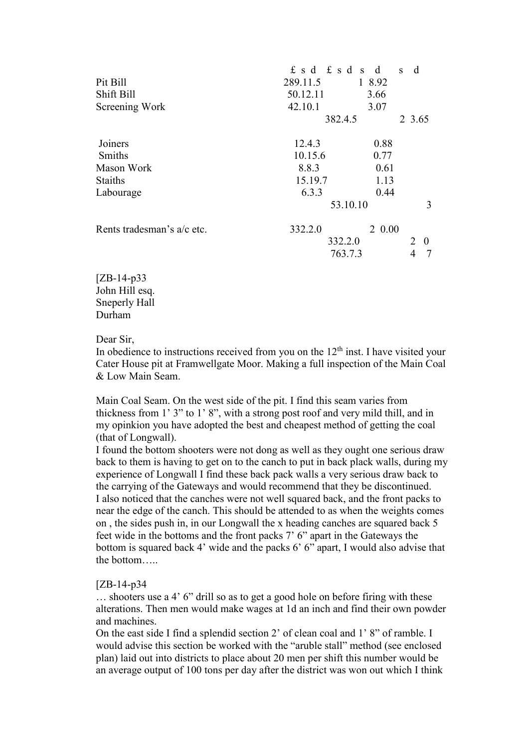|                            | $f$ s d $f$ s d s d |                   | d<br>$\mathbf{s}$ |  |  |  |
|----------------------------|---------------------|-------------------|-------------------|--|--|--|
| Pit Bill                   | 289.11.5            | 1 8.92            |                   |  |  |  |
| Shift Bill                 | 50.12.11            | 3.66              |                   |  |  |  |
| Screening Work             | 42.10.1             | 3.07              |                   |  |  |  |
|                            |                     | 382.4.5<br>2 3.65 |                   |  |  |  |
| Joiners                    | 12.4.3              | 0.88              |                   |  |  |  |
| <b>Smiths</b>              | 10.15.6             | 0.77              |                   |  |  |  |
| Mason Work                 | 8.8.3               | 0.61              |                   |  |  |  |
| <b>Staiths</b>             | 15.19.7             | 1.13              |                   |  |  |  |
| Labourage                  | 6.3.3               | 0.44              |                   |  |  |  |
|                            |                     | 53.10.10          |                   |  |  |  |
| Rents tradesman's a/c etc. | 332.2.0             | 2 0.00            |                   |  |  |  |
|                            |                     | 332.2.0           |                   |  |  |  |
|                            | 763.7.3             |                   | 4                 |  |  |  |
|                            |                     |                   |                   |  |  |  |

[ZB-14-p33 John Hill esq. Sneperly Hall Durham

#### Dear Sir,

In obedience to instructions received from you on the  $12<sup>th</sup>$  inst. I have visited your Cater House pit at Framwellgate Moor. Making a full inspection of the Main Coal & Low Main Seam.

Main Coal Seam. On the west side of the pit. I find this seam varies from thickness from 1' 3" to 1' 8", with a strong post roof and very mild thill, and in my opinkion you have adopted the best and cheapest method of getting the coal (that of Longwall).

I found the bottom shooters were not dong as well as they ought one serious draw back to them is having to get on to the canch to put in back plack walls, during my experience of Longwall I find these back pack walls a very serious draw back to the carrying of the Gateways and would recommend that they be discontinued. I also noticed that the canches were not well squared back, and the front packs to near the edge of the canch. This should be attended to as when the weights comes on , the sides push in, in our Longwall the x heading canches are squared back 5 feet wide in the bottoms and the front packs 7' 6" apart in the Gateways the bottom is squared back 4' wide and the packs 6' 6" apart, I would also advise that the bottom…..

#### [ZB-14-p34

… shooters use a 4' 6" drill so as to get a good hole on before firing with these alterations. Then men would make wages at 1d an inch and find their own powder and machines.

On the east side I find a splendid section 2' of clean coal and 1' 8" of ramble. I would advise this section be worked with the "aruble stall" method (see enclosed plan) laid out into districts to place about 20 men per shift this number would be an average output of 100 tons per day after the district was won out which I think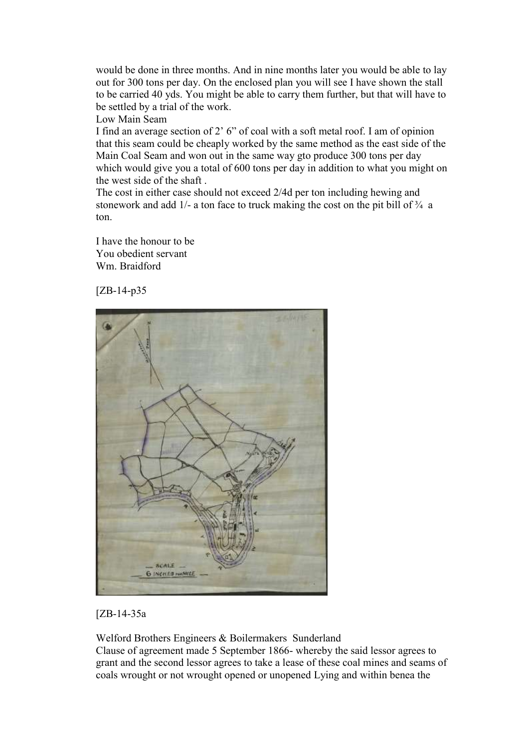would be done in three months. And in nine months later you would be able to lay out for 300 tons per day. On the enclosed plan you will see I have shown the stall to be carried 40 yds. You might be able to carry them further, but that will have to be settled by a trial of the work.

Low Main Seam

I find an average section of 2' 6" of coal with a soft metal roof. I am of opinion that this seam could be cheaply worked by the same method as the east side of the Main Coal Seam and won out in the same way gto produce 300 tons per day which would give you a total of 600 tons per day in addition to what you might on the west side of the shaft .

The cost in either case should not exceed 2/4d per ton including hewing and stonework and add  $1/-$  a ton face to truck making the cost on the pit bill of  $\frac{3}{4}$  a ton.

I have the honour to be You obedient servant Wm. Braidford

[ZB-14-p35



[ZB-14-35a

Welford Brothers Engineers & Boilermakers Sunderland Clause of agreement made 5 September 1866- whereby the said lessor agrees to grant and the second lessor agrees to take a lease of these coal mines and seams of coals wrought or not wrought opened or unopened Lying and within benea the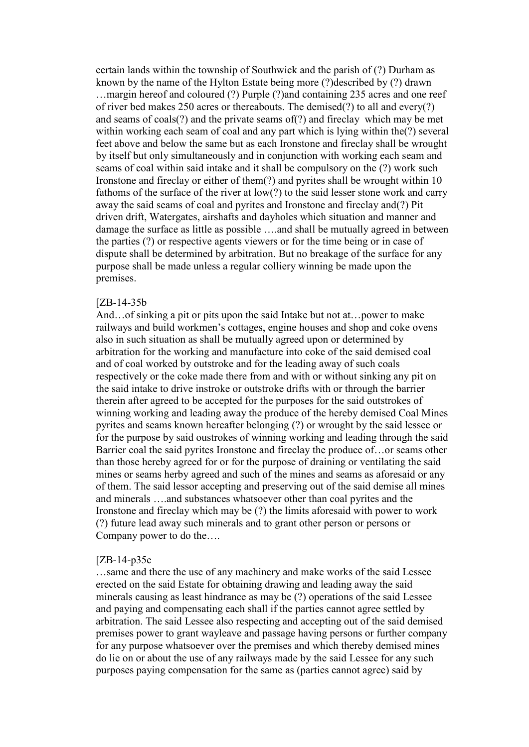certain lands within the township of Southwick and the parish of (?) Durham as known by the name of the Hylton Estate being more (?)described by (?) drawn ...margin hereof and coloured (?) Purple (?)and containing 235 acres and one reef of river bed makes 250 acres or thereabouts. The demised(?) to all and every(?) and seams of coals(?) and the private seams of(?) and fireclay which may be met within working each seam of coal and any part which is lying within the(?) several feet above and below the same but as each Ironstone and fireclay shall be wrought by itself but only simultaneously and in conjunction with working each seam and seams of coal within said intake and it shall be compulsory on the (?) work such Ironstone and fireclay or either of them(?) and pyrites shall be wrought within 10 fathoms of the surface of the river at low(?) to the said lesser stone work and carry away the said seams of coal and pyrites and Ironstone and fireclay and(?) Pit driven drift, Watergates, airshafts and dayholes which situation and manner and damage the surface as little as possible ….and shall be mutually agreed in between the parties (?) or respective agents viewers or for the time being or in case of dispute shall be determined by arbitration. But no breakage of the surface for any purpose shall be made unless a regular colliery winning be made upon the premises.

#### [ZB-14-35b

And…of sinking a pit or pits upon the said Intake but not at…power to make railways and build workmen's cottages, engine houses and shop and coke ovens also in such situation as shall be mutually agreed upon or determined by arbitration for the working and manufacture into coke of the said demised coal and of coal worked by outstroke and for the leading away of such coals respectively or the coke made there from and with or without sinking any pit on the said intake to drive instroke or outstroke drifts with or through the barrier therein after agreed to be accepted for the purposes for the said outstrokes of winning working and leading away the produce of the hereby demised Coal Mines pyrites and seams known hereafter belonging (?) or wrought by the said lessee or for the purpose by said oustrokes of winning working and leading through the said Barrier coal the said pyrites Ironstone and fireclay the produce of…or seams other than those hereby agreed for or for the purpose of draining or ventilating the said mines or seams herby agreed and such of the mines and seams as aforesaid or any of them. The said lessor accepting and preserving out of the said demise all mines and minerals ….and substances whatsoever other than coal pyrites and the Ironstone and fireclay which may be (?) the limits aforesaid with power to work (?) future lead away such minerals and to grant other person or persons or Company power to do the….

#### [ZB-14-p35c

…same and there the use of any machinery and make works of the said Lessee erected on the said Estate for obtaining drawing and leading away the said minerals causing as least hindrance as may be (?) operations of the said Lessee and paying and compensating each shall if the parties cannot agree settled by arbitration. The said Lessee also respecting and accepting out of the said demised premises power to grant wayleave and passage having persons or further company for any purpose whatsoever over the premises and which thereby demised mines do lie on or about the use of any railways made by the said Lessee for any such purposes paying compensation for the same as (parties cannot agree) said by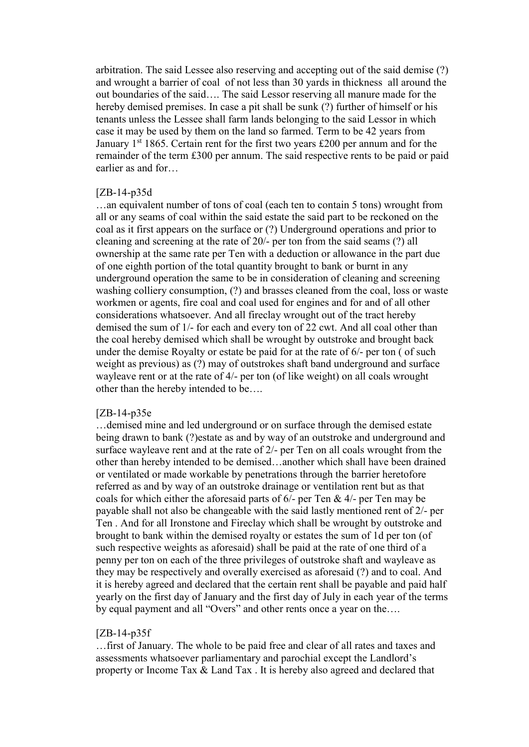arbitration. The said Lessee also reserving and accepting out of the said demise (?) and wrought a barrier of coal of not less than 30 yards in thickness all around the out boundaries of the said…. The said Lessor reserving all manure made for the hereby demised premises. In case a pit shall be sunk (?) further of himself or his tenants unless the Lessee shall farm lands belonging to the said Lessor in which case it may be used by them on the land so farmed. Term to be 42 years from January  $1^{st}$  1865. Certain rent for the first two years £200 per annum and for the remainder of the term £300 per annum. The said respective rents to be paid or paid earlier as and for…

## [ZB-14-p35d

…an equivalent number of tons of coal (each ten to contain 5 tons) wrought from all or any seams of coal within the said estate the said part to be reckoned on the coal as it first appears on the surface or (?) Underground operations and prior to cleaning and screening at the rate of 20/- per ton from the said seams (?) all ownership at the same rate per Ten with a deduction or allowance in the part due of one eighth portion of the total quantity brought to bank or burnt in any underground operation the same to be in consideration of cleaning and screening washing colliery consumption, (?) and brasses cleaned from the coal, loss or waste workmen or agents, fire coal and coal used for engines and for and of all other considerations whatsoever. And all fireclay wrought out of the tract hereby demised the sum of 1/- for each and every ton of 22 cwt. And all coal other than the coal hereby demised which shall be wrought by outstroke and brought back under the demise Royalty or estate be paid for at the rate of 6/- per ton ( of such weight as previous) as (?) may of outstrokes shaft band underground and surface wayleave rent or at the rate of 4/- per ton (of like weight) on all coals wrought other than the hereby intended to be….

#### [ZB-14-p35e

…demised mine and led underground or on surface through the demised estate being drawn to bank (?)estate as and by way of an outstroke and underground and surface wayleave rent and at the rate of 2/- per Ten on all coals wrought from the other than hereby intended to be demised…another which shall have been drained or ventilated or made workable by penetrations through the barrier heretofore referred as and by way of an outstroke drainage or ventilation rent but as that coals for which either the aforesaid parts of 6/- per Ten & 4/- per Ten may be payable shall not also be changeable with the said lastly mentioned rent of 2/- per Ten . And for all Ironstone and Fireclay which shall be wrought by outstroke and brought to bank within the demised royalty or estates the sum of 1d per ton (of such respective weights as aforesaid) shall be paid at the rate of one third of a penny per ton on each of the three privileges of outstroke shaft and wayleave as they may be respectively and overally exercised as aforesaid (?) and to coal. And it is hereby agreed and declared that the certain rent shall be payable and paid half yearly on the first day of January and the first day of July in each year of the terms by equal payment and all "Overs" and other rents once a year on the….

#### [ZB-14-p35f

…first of January. The whole to be paid free and clear of all rates and taxes and assessments whatsoever parliamentary and parochial except the Landlord's property or Income Tax & Land Tax . It is hereby also agreed and declared that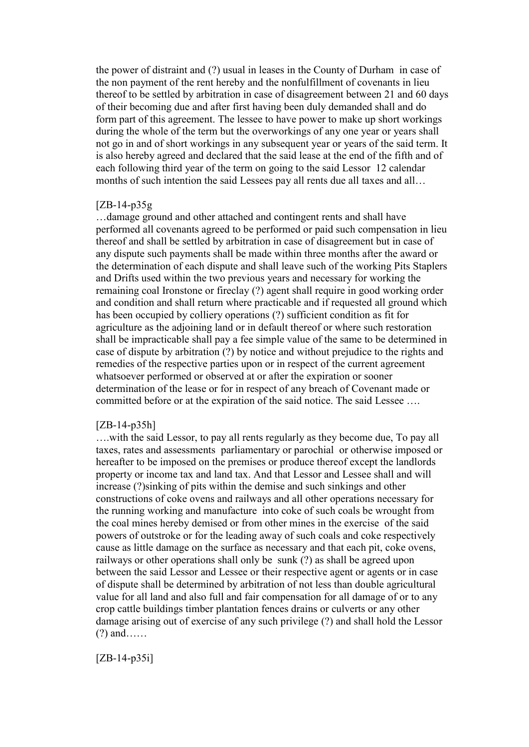the power of distraint and (?) usual in leases in the County of Durham in case of the non payment of the rent hereby and the nonfulfillment of covenants in lieu thereof to be settled by arbitration in case of disagreement between 21 and 60 days of their becoming due and after first having been duly demanded shall and do form part of this agreement. The lessee to have power to make up short workings during the whole of the term but the overworkings of any one year or years shall not go in and of short workings in any subsequent year or years of the said term. It is also hereby agreed and declared that the said lease at the end of the fifth and of each following third year of the term on going to the said Lessor 12 calendar months of such intention the said Lessees pay all rents due all taxes and all…

#### [ZB-14-p35g

…damage ground and other attached and contingent rents and shall have performed all covenants agreed to be performed or paid such compensation in lieu thereof and shall be settled by arbitration in case of disagreement but in case of any dispute such payments shall be made within three months after the award or the determination of each dispute and shall leave such of the working Pits Staplers and Drifts used within the two previous years and necessary for working the remaining coal Ironstone or fireclay (?) agent shall require in good working order and condition and shall return where practicable and if requested all ground which has been occupied by colliery operations (?) sufficient condition as fit for agriculture as the adjoining land or in default thereof or where such restoration shall be impracticable shall pay a fee simple value of the same to be determined in case of dispute by arbitration (?) by notice and without prejudice to the rights and remedies of the respective parties upon or in respect of the current agreement whatsoever performed or observed at or after the expiration or sooner determination of the lease or for in respect of any breach of Covenant made or committed before or at the expiration of the said notice. The said Lessee ….

#### [ZB-14-p35h]

….with the said Lessor, to pay all rents regularly as they become due, To pay all taxes, rates and assessments parliamentary or parochial or otherwise imposed or hereafter to be imposed on the premises or produce thereof except the landlords property or income tax and land tax. And that Lessor and Lessee shall and will increase (?)sinking of pits within the demise and such sinkings and other constructions of coke ovens and railways and all other operations necessary for the running working and manufacture into coke of such coals be wrought from the coal mines hereby demised or from other mines in the exercise of the said powers of outstroke or for the leading away of such coals and coke respectively cause as little damage on the surface as necessary and that each pit, coke ovens, railways or other operations shall only be sunk (?) as shall be agreed upon between the said Lessor and Lessee or their respective agent or agents or in case of dispute shall be determined by arbitration of not less than double agricultural value for all land and also full and fair compensation for all damage of or to any crop cattle buildings timber plantation fences drains or culverts or any other damage arising out of exercise of any such privilege (?) and shall hold the Lessor (?) and……

[ZB-14-p35i]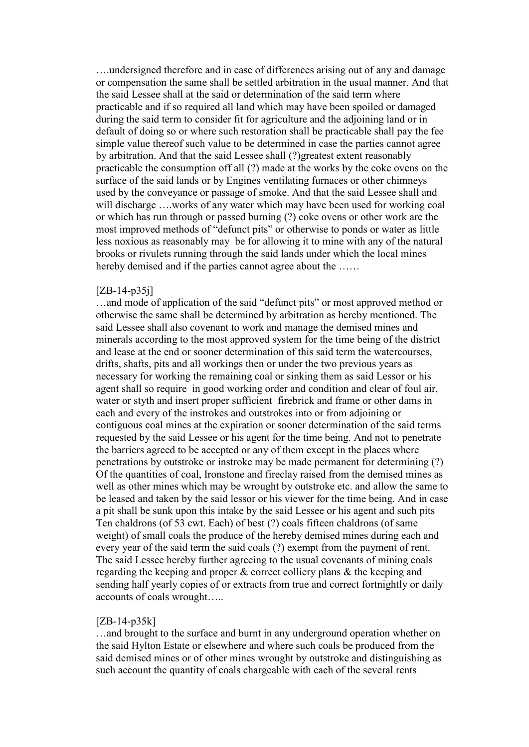….undersigned therefore and in case of differences arising out of any and damage or compensation the same shall be settled arbitration in the usual manner. And that the said Lessee shall at the said or determination of the said term where practicable and if so required all land which may have been spoiled or damaged during the said term to consider fit for agriculture and the adjoining land or in default of doing so or where such restoration shall be practicable shall pay the fee simple value thereof such value to be determined in case the parties cannot agree by arbitration. And that the said Lessee shall (?)greatest extent reasonably practicable the consumption off all (?) made at the works by the coke ovens on the surface of the said lands or by Engines ventilating furnaces or other chimneys used by the conveyance or passage of smoke. And that the said Lessee shall and will discharge ….works of any water which may have been used for working coal or which has run through or passed burning (?) coke ovens or other work are the most improved methods of "defunct pits" or otherwise to ponds or water as little less noxious as reasonably may be for allowing it to mine with any of the natural brooks or rivulets running through the said lands under which the local mines hereby demised and if the parties cannot agree about the ......

#### [ZB-14-p35j]

…and mode of application of the said "defunct pits" or most approved method or otherwise the same shall be determined by arbitration as hereby mentioned. The said Lessee shall also covenant to work and manage the demised mines and minerals according to the most approved system for the time being of the district and lease at the end or sooner determination of this said term the watercourses, drifts, shafts, pits and all workings then or under the two previous years as necessary for working the remaining coal or sinking them as said Lessor or his agent shall so require in good working order and condition and clear of foul air, water or styth and insert proper sufficient firebrick and frame or other dams in each and every of the instrokes and outstrokes into or from adjoining or contiguous coal mines at the expiration or sooner determination of the said terms requested by the said Lessee or his agent for the time being. And not to penetrate the barriers agreed to be accepted or any of them except in the places where penetrations by outstroke or instroke may be made permanent for determining (?) Of the quantities of coal, Ironstone and fireclay raised from the demised mines as well as other mines which may be wrought by outstroke etc. and allow the same to be leased and taken by the said lessor or his viewer for the time being. And in case a pit shall be sunk upon this intake by the said Lessee or his agent and such pits Ten chaldrons (of 53 cwt. Each) of best (?) coals fifteen chaldrons (of same weight) of small coals the produce of the hereby demised mines during each and every year of the said term the said coals (?) exempt from the payment of rent. The said Lessee hereby further agreeing to the usual covenants of mining coals regarding the keeping and proper & correct colliery plans & the keeping and sending half yearly copies of or extracts from true and correct fortnightly or daily accounts of coals wrought…..

#### [ZB-14-p35k]

…and brought to the surface and burnt in any underground operation whether on the said Hylton Estate or elsewhere and where such coals be produced from the said demised mines or of other mines wrought by outstroke and distinguishing as such account the quantity of coals chargeable with each of the several rents